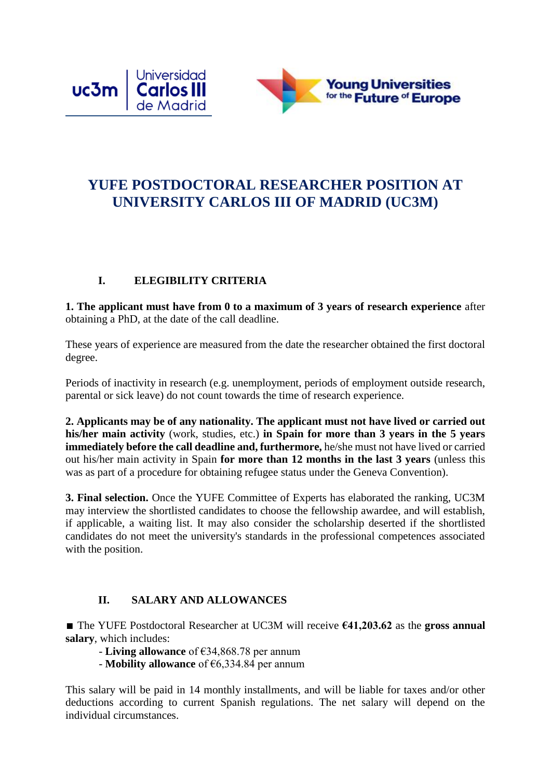

# **YUFE POSTDOCTORAL RESEARCHER POSITION AT UNIVERSITY CARLOS III OF MADRID (UC3M)**

### **I. ELEGIBILITY CRITERIA**

**1. The applicant must have from 0 to a maximum of 3 years of research experience** after obtaining a PhD, at the date of the call deadline.

These years of experience are measured from the date the researcher obtained the first doctoral degree.

Periods of inactivity in research (e.g. unemployment, periods of employment outside research, parental or sick leave) do not count towards the time of research experience.

**2. Applicants may be of any nationality. The applicant must not have lived or carried out his/her main activity** (work, studies, etc.) **in Spain for more than 3 years in the 5 years immediately before the call deadline and, furthermore,** he/she must not have lived or carried out his/her main activity in Spain **for more than 12 months in the last 3 years** (unless this was as part of a procedure for obtaining refugee status under the Geneva Convention).

**3. Final selection.** Once the YUFE Committee of Experts has elaborated the ranking, UC3M may interview the shortlisted candidates to choose the fellowship awardee, and will establish, if applicable, a waiting list. It may also consider the scholarship deserted if the shortlisted candidates do not meet the university's standards in the professional competences associated with the position.

## **II. SALARY AND ALLOWANCES**

∎ The YUFE Postdoctoral Researcher at UC3M will receive **€41,203.62** as the **gross annual salary**, which includes:

- **Living allowance** of €34,868.78 per annum

- **Mobility allowance** of €6,334.84 per annum

This salary will be paid in 14 monthly installments, and will be liable for taxes and/or other deductions according to current Spanish regulations. The net salary will depend on the individual circumstances.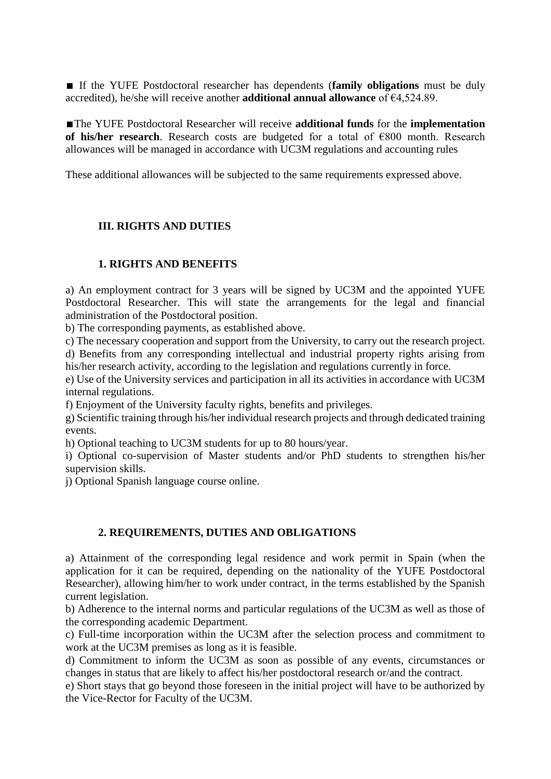■ If the YUFE Postdoctoral researcher has dependents (**family obligations** must be duly accredited), he/she will receive another **additional annual allowance** of €4,524.89.

∎The YUFE Postdoctoral Researcher will receive **additional funds** for the **implementation of his/her research**. Research costs are budgeted for a total of €800 month. Research allowances will be managed in accordance with UC3M regulations and accounting rules

These additional allowances will be subjected to the same requirements expressed above.

#### **III. RIGHTS AND DUTIES**

#### **1. RIGHTS AND BENEFITS**

a) An employment contract for 3 years will be signed by UC3M and the appointed YUFE Postdoctoral Researcher. This will state the arrangements for the legal and financial administration of the Postdoctoral position.

b) The corresponding payments, as established above.

c) The necessary cooperation and support from the University, to carry out the research project. d) Benefits from any corresponding intellectual and industrial property rights arising from his/her research activity, according to the legislation and regulations currently in force.

e) Use of the University services and participation in all its activities in accordance with UC3M internal regulations.

f) Enjoyment of the University faculty rights, benefits and privileges.

g) Scientific training through his/her individual research projects and through dedicated training events.

h) Optional teaching to UC3M students for up to 80 hours/year.

i) Optional co-supervision of Master students and/or PhD students to strengthen his/her supervision skills.

j) Optional Spanish language course online.

#### **2. REQUIREMENTS, DUTIES AND OBLIGATIONS**

a) Attainment of the corresponding legal residence and work permit in Spain (when the application for it can be required, depending on the nationality of the YUFE Postdoctoral Researcher), allowing him/her to work under contract, in the terms established by the Spanish current legislation.

b) Adherence to the internal norms and particular regulations of the UC3M as well as those of the corresponding academic Department.

c) Full-time incorporation within the UC3M after the selection process and commitment to work at the UC3M premises as long as it is feasible.

d) Commitment to inform the UC3M as soon as possible of any events, circumstances or changes in status that are likely to affect his/her postdoctoral research or/and the contract.

e) Short stays that go beyond those foreseen in the initial project will have to be authorized by the Vice-Rector for Faculty of the UC3M.